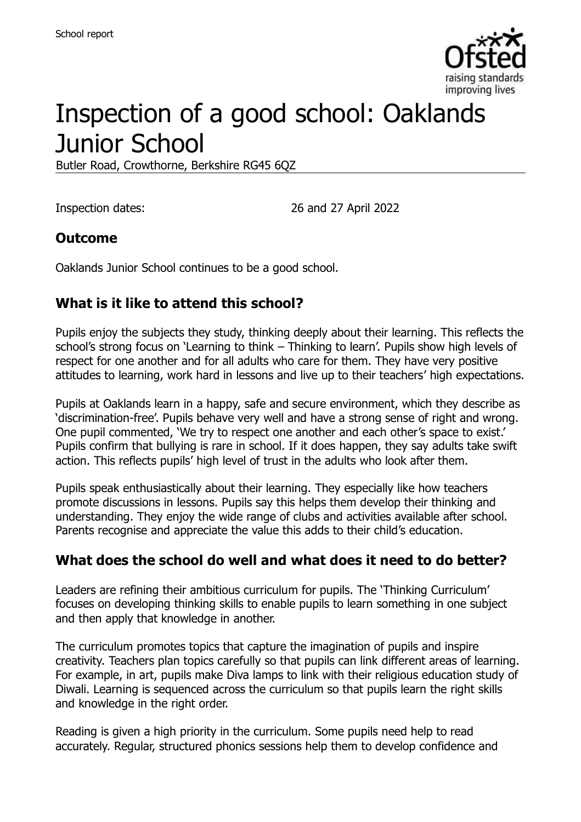

# Inspection of a good school: Oaklands Junior School

Butler Road, Crowthorne, Berkshire RG45 6QZ

Inspection dates: 26 and 27 April 2022

#### **Outcome**

Oaklands Junior School continues to be a good school.

### **What is it like to attend this school?**

Pupils enjoy the subjects they study, thinking deeply about their learning. This reflects the school's strong focus on 'Learning to think – Thinking to learn'. Pupils show high levels of respect for one another and for all adults who care for them. They have very positive attitudes to learning, work hard in lessons and live up to their teachers' high expectations.

Pupils at Oaklands learn in a happy, safe and secure environment, which they describe as 'discrimination-free'. Pupils behave very well and have a strong sense of right and wrong. One pupil commented, 'We try to respect one another and each other's space to exist.' Pupils confirm that bullying is rare in school. If it does happen, they say adults take swift action. This reflects pupils' high level of trust in the adults who look after them.

Pupils speak enthusiastically about their learning. They especially like how teachers promote discussions in lessons. Pupils say this helps them develop their thinking and understanding. They enjoy the wide range of clubs and activities available after school. Parents recognise and appreciate the value this adds to their child's education.

#### **What does the school do well and what does it need to do better?**

Leaders are refining their ambitious curriculum for pupils. The 'Thinking Curriculum' focuses on developing thinking skills to enable pupils to learn something in one subject and then apply that knowledge in another.

The curriculum promotes topics that capture the imagination of pupils and inspire creativity. Teachers plan topics carefully so that pupils can link different areas of learning. For example, in art, pupils make Diva lamps to link with their religious education study of Diwali. Learning is sequenced across the curriculum so that pupils learn the right skills and knowledge in the right order.

Reading is given a high priority in the curriculum. Some pupils need help to read accurately. Regular, structured phonics sessions help them to develop confidence and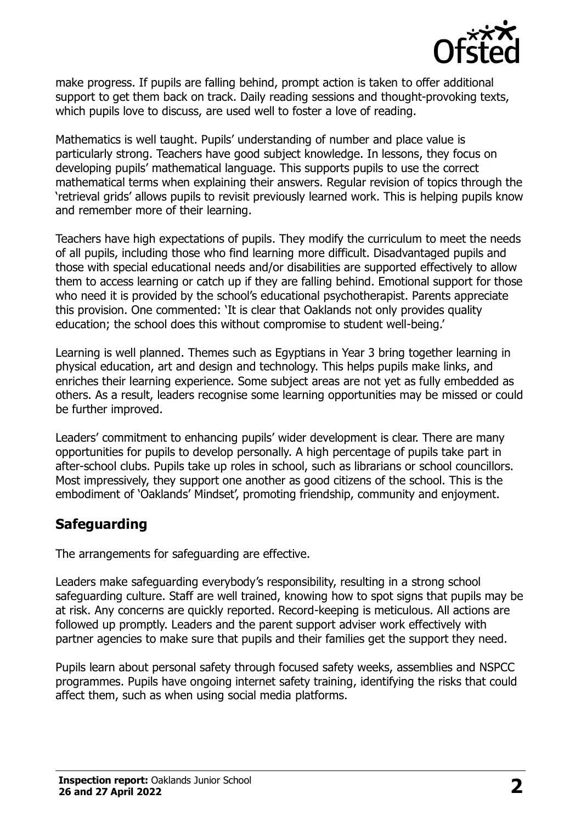

make progress. If pupils are falling behind, prompt action is taken to offer additional support to get them back on track. Daily reading sessions and thought-provoking texts, which pupils love to discuss, are used well to foster a love of reading.

Mathematics is well taught. Pupils' understanding of number and place value is particularly strong. Teachers have good subject knowledge. In lessons, they focus on developing pupils' mathematical language. This supports pupils to use the correct mathematical terms when explaining their answers. Regular revision of topics through the 'retrieval grids' allows pupils to revisit previously learned work. This is helping pupils know and remember more of their learning.

Teachers have high expectations of pupils. They modify the curriculum to meet the needs of all pupils, including those who find learning more difficult. Disadvantaged pupils and those with special educational needs and/or disabilities are supported effectively to allow them to access learning or catch up if they are falling behind. Emotional support for those who need it is provided by the school's educational psychotherapist. Parents appreciate this provision. One commented: 'It is clear that Oaklands not only provides quality education; the school does this without compromise to student well-being.'

Learning is well planned. Themes such as Egyptians in Year 3 bring together learning in physical education, art and design and technology. This helps pupils make links, and enriches their learning experience. Some subject areas are not yet as fully embedded as others. As a result, leaders recognise some learning opportunities may be missed or could be further improved.

Leaders' commitment to enhancing pupils' wider development is clear. There are many opportunities for pupils to develop personally. A high percentage of pupils take part in after-school clubs. Pupils take up roles in school, such as librarians or school councillors. Most impressively, they support one another as good citizens of the school. This is the embodiment of 'Oaklands' Mindset', promoting friendship, community and enjoyment.

## **Safeguarding**

The arrangements for safeguarding are effective.

Leaders make safeguarding everybody's responsibility, resulting in a strong school safeguarding culture. Staff are well trained, knowing how to spot signs that pupils may be at risk. Any concerns are quickly reported. Record-keeping is meticulous. All actions are followed up promptly. Leaders and the parent support adviser work effectively with partner agencies to make sure that pupils and their families get the support they need.

Pupils learn about personal safety through focused safety weeks, assemblies and NSPCC programmes. Pupils have ongoing internet safety training, identifying the risks that could affect them, such as when using social media platforms.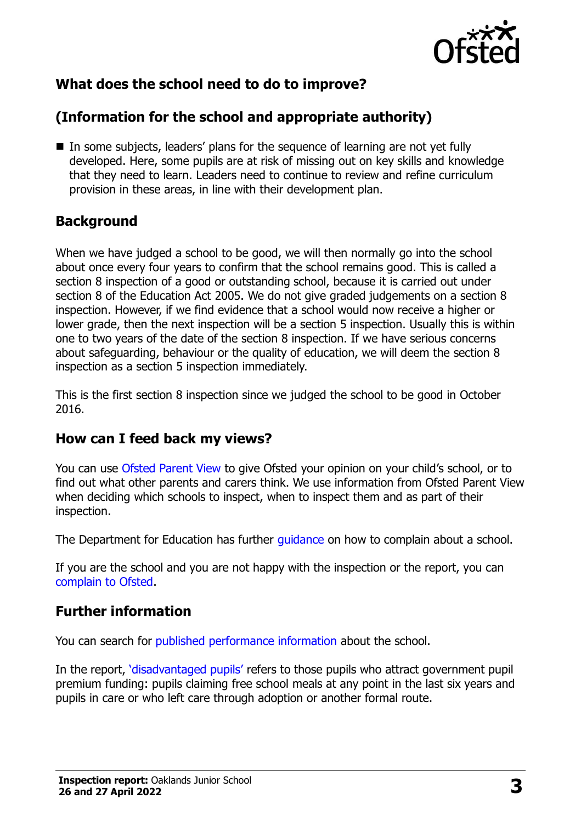

## **What does the school need to do to improve?**

## **(Information for the school and appropriate authority)**

■ In some subjects, leaders' plans for the sequence of learning are not yet fully developed. Here, some pupils are at risk of missing out on key skills and knowledge that they need to learn. Leaders need to continue to review and refine curriculum provision in these areas, in line with their development plan.

#### **Background**

When we have judged a school to be good, we will then normally go into the school about once every four years to confirm that the school remains good. This is called a section 8 inspection of a good or outstanding school, because it is carried out under section 8 of the Education Act 2005. We do not give graded judgements on a section 8 inspection. However, if we find evidence that a school would now receive a higher or lower grade, then the next inspection will be a section 5 inspection. Usually this is within one to two years of the date of the section 8 inspection. If we have serious concerns about safeguarding, behaviour or the quality of education, we will deem the section 8 inspection as a section 5 inspection immediately.

This is the first section 8 inspection since we judged the school to be good in October 2016.

#### **How can I feed back my views?**

You can use [Ofsted Parent View](https://parentview.ofsted.gov.uk/) to give Ofsted your opinion on your child's school, or to find out what other parents and carers think. We use information from Ofsted Parent View when deciding which schools to inspect, when to inspect them and as part of their inspection.

The Department for Education has further [guidance](http://www.gov.uk/complain-about-school) on how to complain about a school.

If you are the school and you are not happy with the inspection or the report, you can [complain to Ofsted.](https://www.gov.uk/complain-ofsted-report)

## **Further information**

You can search for [published performance information](http://www.compare-school-performance.service.gov.uk/) about the school.

In the report, '[disadvantaged pupils](http://www.gov.uk/guidance/pupil-premium-information-for-schools-and-alternative-provision-settings)' refers to those pupils who attract government pupil premium funding: pupils claiming free school meals at any point in the last six years and pupils in care or who left care through adoption or another formal route.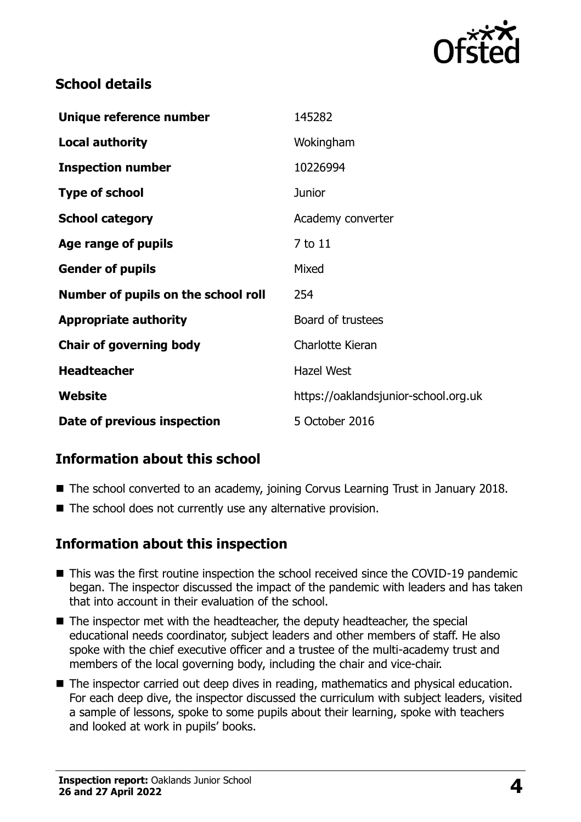

### **School details**

| Unique reference number             | 145282                               |
|-------------------------------------|--------------------------------------|
| <b>Local authority</b>              | Wokingham                            |
| <b>Inspection number</b>            | 10226994                             |
| <b>Type of school</b>               | <b>Junior</b>                        |
| <b>School category</b>              | Academy converter                    |
| Age range of pupils                 | 7 to 11                              |
| <b>Gender of pupils</b>             | Mixed                                |
| Number of pupils on the school roll | 254                                  |
| <b>Appropriate authority</b>        | Board of trustees                    |
| <b>Chair of governing body</b>      | Charlotte Kieran                     |
| <b>Headteacher</b>                  | <b>Hazel West</b>                    |
| Website                             | https://oaklandsjunior-school.org.uk |
| Date of previous inspection         | 5 October 2016                       |

## **Information about this school**

- The school converted to an academy, joining Corvus Learning Trust in January 2018.
- The school does not currently use any alternative provision.

#### **Information about this inspection**

- This was the first routine inspection the school received since the COVID-19 pandemic began. The inspector discussed the impact of the pandemic with leaders and has taken that into account in their evaluation of the school.
- The inspector met with the headteacher, the deputy headteacher, the special educational needs coordinator, subject leaders and other members of staff. He also spoke with the chief executive officer and a trustee of the multi-academy trust and members of the local governing body, including the chair and vice-chair.
- The inspector carried out deep dives in reading, mathematics and physical education. For each deep dive, the inspector discussed the curriculum with subject leaders, visited a sample of lessons, spoke to some pupils about their learning, spoke with teachers and looked at work in pupils' books.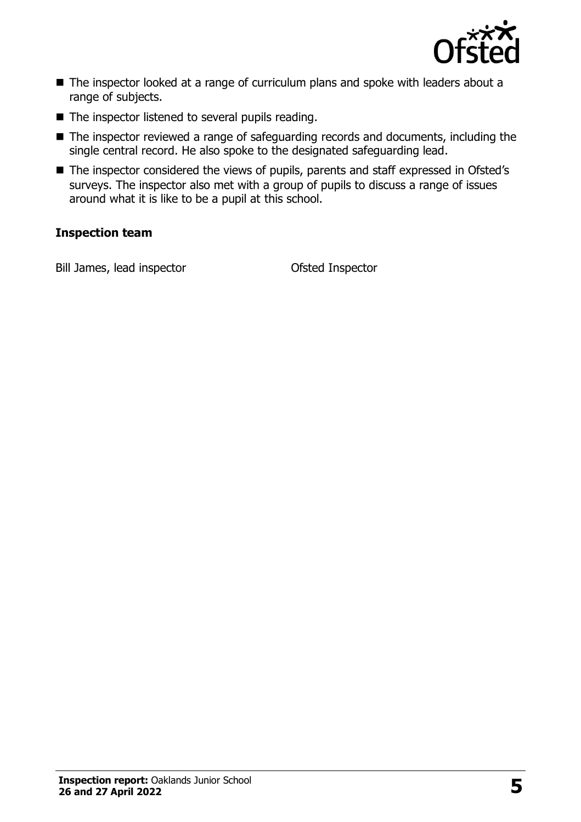

- The inspector looked at a range of curriculum plans and spoke with leaders about a range of subjects.
- The inspector listened to several pupils reading.
- The inspector reviewed a range of safeguarding records and documents, including the single central record. He also spoke to the designated safeguarding lead.
- The inspector considered the views of pupils, parents and staff expressed in Ofsted's surveys. The inspector also met with a group of pupils to discuss a range of issues around what it is like to be a pupil at this school.

#### **Inspection team**

Bill James, lead inspector **Ofsted Inspector**